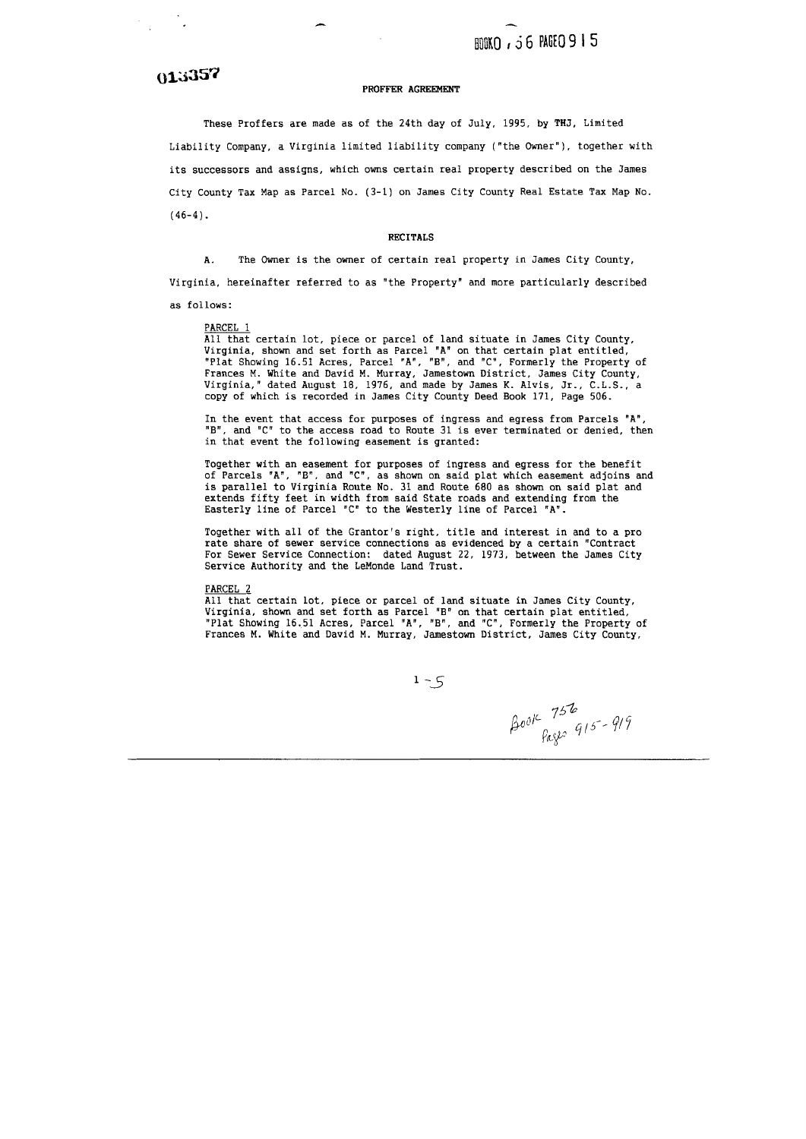# 013357

### PROFFER AGREEMENT

These Proffers are made as of the 24th day of July, 1995, by THJ, Limited Liability Company, a Virginia limited liability company ("the Owner"), together with its successors and assigns, which owns certain real property described on the James City County Tax Map as Parcel No. (3-1) on James City County Real Estate Tax Map No.  $(46-4)$ .

### RECITALS

A. The Owner is the owner of certain real property in James City County, Virginia, hereinafter referred to as "the Property" and more particularly described as follows:

### PARCEL 1

All that certain lot, piece or parcel of land situate in James City County, Virginia, shown and set forth as Parcel "A" on that certain plat entitled, "Plat Showing 16.51 Acres, Parcel "A", "B", and "C", Formerly the Property of Frances M. White and David M. Murray, Jamestown District, James City County, Virginia," dated August 18, 1976, and made by James K. Alvis, Jr., C.L.S., a copy of which is recorded in James City County Deed Book 171, Page 506.

In the event that access for purposes of ingress and egress from Parcels "A", "B", and "C" to the access road to Route 31 is ever terminated or denied, then in that event the following easement is granted:

Together with an easement for purposes of ingress and egress for the benefit of Parcels 'A", "B", and "C", as shown on said plat which easement adjoins and is parallel to Virginia Route No. 31 and Route 680 as shown on said plat and extends fifty feet in width from said State roads and extending from the Easterly line of Parcel "C" to the Westerly line of Parcel "A".

Together with all of the Grantor's right, title and interest in and to a pro rate share of sewer service connections as evidenced by a certain "Contract For Sewer Service Connection: dated August 22, 1973, between the James City Service Authority and the LeMonde Land Trust.

### PARCEL 2

All that certain lot, piece or parcel of land situate in James City County, Virginia, shown and set forth as Parcel "B" on that certain plat entitled, "Plat Showing 16.51 Acres, Parcel "A", "B" , and "C", Formerly the Property of Frances M. White and David M. Murray, Jamestown District, James City County,

 $1-5$ 

 $\beta$ 001  $\frac{756}{\log 299}$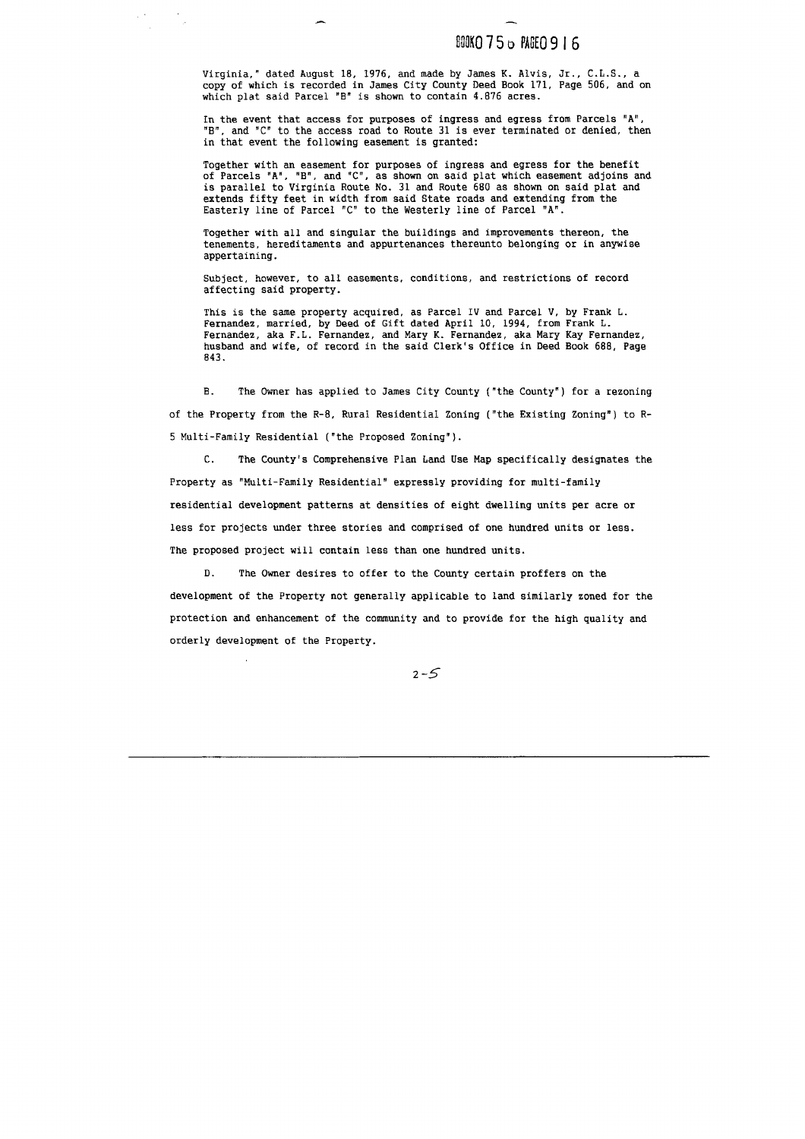## $B00KO756$  PAGEO 9 16

Virginia," dated August 18, 1976, and made by James K. Alvis, Jr., C.L.S., a copy of which is recorded in James City County Deed Book 171, Page 506, and on which plat said Parcel "B" is shown to contain 4.876 acres.

 $\sim$   $\mu$ 

 $\sim$ 

In the event that access for purposes of ingress and egress from Parcels "A", **"B",** and "C" to the access road to Route 31 is ever terminated or denied, then in that event the following easement is granted:

Together with an easement for purposes of ingress and egress for the benefit of Parcels "A", "8". and "C", as shown on said plat which easement adjoins and is parallel to Virginia Route No. 31 and Route 680 as shown on said plat and extends fifty feet in width from said State roads and extending from the Easterly line of Parcel "C" to the Westerly line of Parcel "A".

Together with all and singular the buildings and improvements thereon, the tenements, hereditaments and appurtenances thereunto belonging or in anywise appertaining.

Subject, however, to all easements, conditions, and restrictions of record affecting said property.

This is the same property acquired, as Parcel IV and Parcel V, by Frank L. Fernandez. married, by Deed of Gift dated April 10, 1994, from Frank L. Fernandez, aka F.L. Fernandez. and Mary K. Fernandez, aka Mary Kay Fernandez, husband and wife, of record in the said Clerk's Office in Deed Book 688, Page 843.

B. The Owner has applied to James City County ("the County") for a rezoning of the Property from the R-8, Rural Residential Zoning ("the Existing Zoning") to R-5 Multi-Family Residential ("the Proposed Zoning").

C. The County's Comprehensive Plan Land Use Map specifically designates the Property as "Multi-Family Residential" expressly providing for multi-family residential development patterns at densities of eight dwelling units per acre or less for projects under three stories and comprised of one hundred units or less. The proposed project will contain less than one hundred units.

D. The Owner desires to offer to the County certain proffers on the development of the Property not generally applicable to land similarly zoned for the protection and enhancement of the community and to provide for the high quality and orderly development of the Property.

 $2 - 5$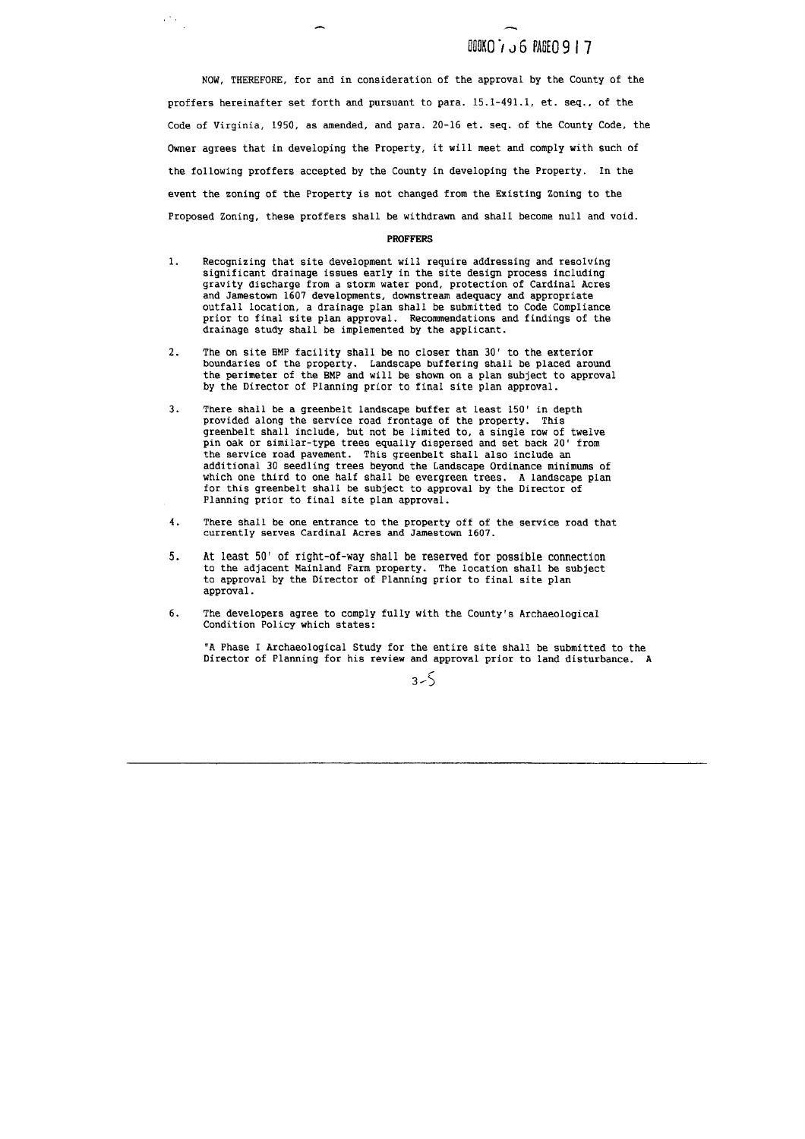# BOOKO 7 J 6 PAGE 0 9 1 7

NOW, THEREFORE, for and in consideration of the approval by the County of the proffers hereinafter set forth and pursuant to para. 15.1-491.1, et. seq., of the Code of Virginia, 1950, as amended, and para. 20-16 et. seq. of the County Code, the Owner agrees that in developing the Property, it will meet and comply with such of the following proffers accepted by the County in developing the Property. In the event the zoning of the Property is not changed from the Existing Zoning to the Proposed Zoning, these proffers shall be withdrawn and shall become null and void.

 $\mathcal{L}^{\text{max}}$ 

#### PROFFERS

- $1.$ Recognizing that site development will require addressing and resolving significant drainage issues early in the site design process including gravity discharge from a storm water pond, protection of Cardinal Acres and Jamestown 1607 developments, downstream adequacy and appropriate outfall location, a drainage plan shall be submitted to Code Compliance prior to final site plan approval. Recommendations and findings of the drainage study shall be implemented by the applicant.
- $2.$ The on site BMP facility shall be no closer than 30' to the exterior boundaries of the property. Landscape buffering shall be placed around the perimeter of the BMP and will be shown on a plan subject to approval by the Director of Planning prior to final site plan approval.
- $3.$ There shall be a greenbelt landscape buffer at least 150' in depth provided along the service road frontage of the property. This greenbelt shall include, but not be limited to, a single row of twelve pin oak or similar-type trees equally dispersed and set back 20' from the service road pavement. This greenbelt shall also include an additional 30 seedling trees beyond the Landscape Ordinance minimums of which one third to one half shall be evergreen trees. A landscape plan for this greenbelt shall be subject to approval by the Director of Planning prior to final site plan approval.
- $4.$ There shall be one entrance to the property off of the service road that currently serves Cardinal Acres and Jamestown 1607.
- $5.$ At least 50' of right-of-way shall be reserved for possible connection to the adjacent Mainland Farm property. The location shall be subject to approval by the Director of Planning prior to final site plan approval.
- 6. The developers agree to comply fully with the County's Archaeological Condition Policy which states:

"A Phase I Archaeological Study for the entire site shall be submitted to the Director of Planning for his review and approval prior to land disturbance. A

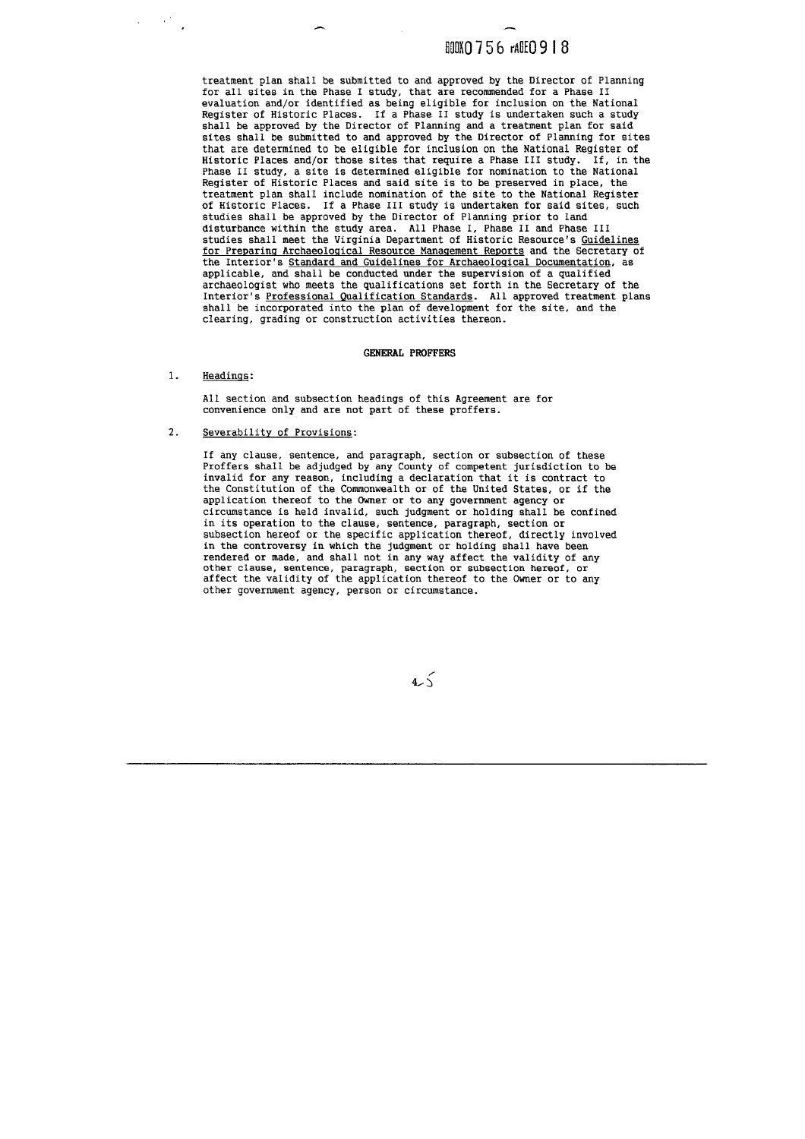# **BOOKO 756 rAGEO 918**

treatment plan shall be submitted to and approved by the Director of Planning for all sites in the Phase I study, that are recommended for a Phase I1 evaluation and/or identified as being eligible for inclusion on the National Register of Historic Places. If a Phase I1 study is undertaken such a study shall be approved by the Director of Planning and a treatment plan for said sites shall be submitted to and approved by the Director of Planning for sites that are determined to be eligible for inclusion on the National Register of Historic Places and/or those sites that require a Phase I11 study. If, in the Phase I1 study, a site is determined eligible for nomination to the National Register of Historic Places and said site is to be preserved in place, the treatment plan shall include nomination of the site to the National Register of Historic Places. If a Phase I11 study is undertaken for said sites, such studies shall be approved by the Director of Planning prior to land disturbance within the study area. All Phase I, Phase I1 and Phase I11 studies shall meet the Virginia Department of Historic Resource's Guidelines for Preparing Archaeological Resource Management Reports and the Secretary of the Interior's Standard and Guidelines for Archaeoloqical Documentation, as applicable, and shall be conducted under the supervision of a qualified archaeologist who meets the qualifications set forth in the Secretary of the Interior's Professional Qualification Standards. All approved treatment plans shall be incorporated into the plan of development for the site, and the clearing, grading or construction activities thereon.

#### **GENERAL PROFFERS**

### 1. Headinqs :

All section and subsection headings of this Agreement are for convenience only and are not part of these proffers.

### 2. Severability of Provisions:

If any clause, sentence, and paragraph, section or subsection of these Proffers shall be adjudged by any County of competent jurisdiction to be invalid for any reason, including a declaration that it is contract to the Constitution of the Commonwealth or of the United States, or if the application thereof to the Owner or to any government agency or circumstance is held invalid, such judgment or holding shall be confined in its operation to the clause, sentence, paragraph, section or subsection hereof or the specific application thereof, directly involved in the controversy in which the judgment or holding shall have been rendered or made, and shall not in any way affect the validity of any other clause, sentence, paragraph, section or subsection hereof, or affect the validity of the application thereof to the Owner or to any other government agency, person or circumstance.

 $4\lesssim$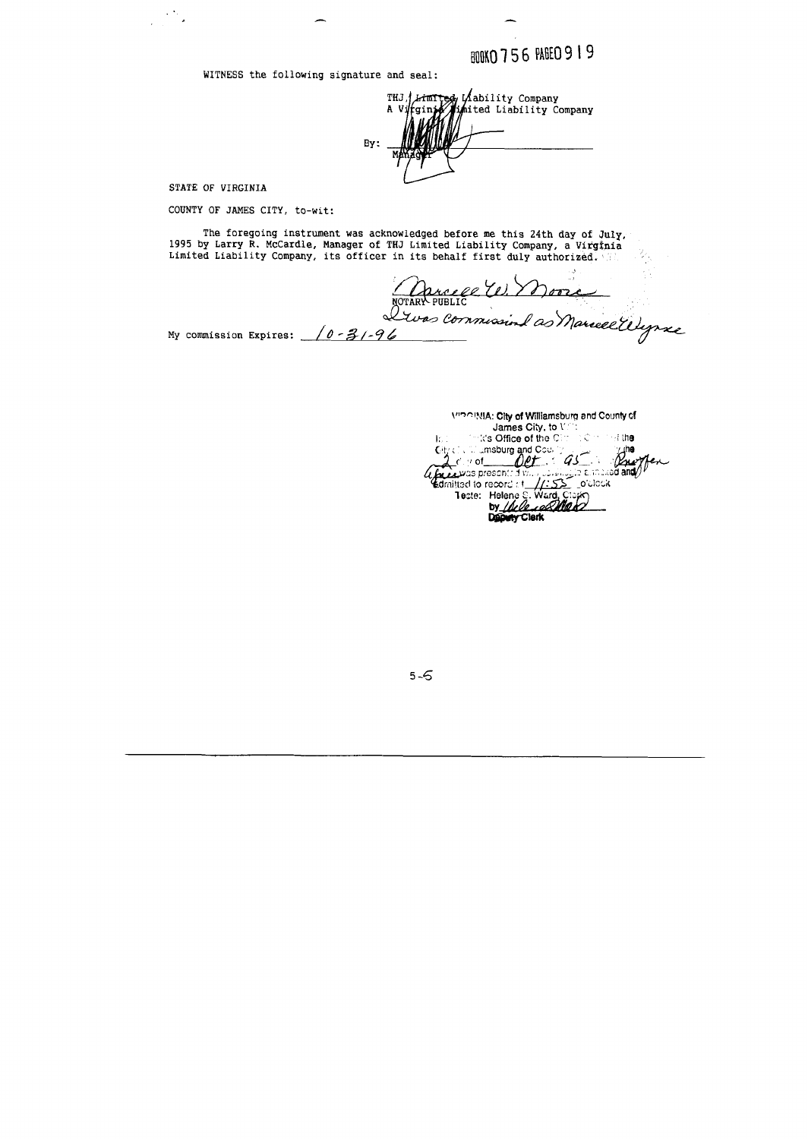**BOOKO 756 PAGEO 919** 

WITNESS the following signature and seal:

**Limited Lability Company<br>ginje limited Liability Company** THJ. A V  $By:$ 

STATE OF VIRGINIA

My commission Expires:

 $\mathcal{O}(\frac{1}{\epsilon})$ 

COUNTY OF JAMES CITY, to-wit:

The foregoing instrument was acknowledged before me this 24th day of July, 1995 by Larry R. McCardle, Manager of THJ Limited Liability Company, a Virginia Limited Liability Company, its officer in its behalf first duly authorized.

NOTART PUBLIC<br>Livas commissions as Marcelligne  $0 - 31 - 9$ 

WIA: City of Williamsburg and County of James City, to Valle **Ids Office of the Circulation**  $\sim$  the 北 **Counsburg and County**  $C<sub>1</sub>$  $\rho$ et  $q_5$  $\vee$  of Lieuvas presented vien centri le annoxe**d and/ Edmitted to record of\_**  $1.52$  o'clock Teste: Helene S. Ward, Clark Deputy Clerk

 $5 - 5$